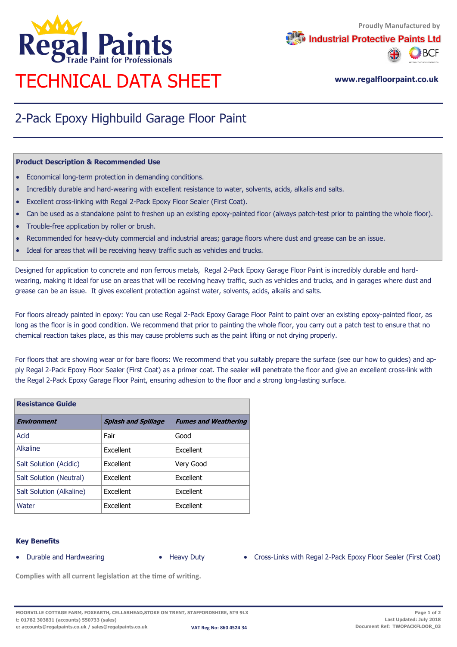

**Industrial Protective Paints Ltd** 



# **www.regalfloorpaint.co.uk** TECHNICAL DATA SHEET

## 2-Pack Epoxy Highbuild Garage Floor Paint

#### **Product Description & Recommended Use**

- Economical long-term protection in demanding conditions.
- Incredibly durable and hard-wearing with excellent resistance to water, solvents, acids, alkalis and salts.
- Excellent cross-linking with Regal 2-Pack Epoxy Floor Sealer (First Coat).
- Can be used as a standalone paint to freshen up an existing epoxy-painted floor (always patch-test prior to painting the whole floor).
- Trouble-free application by roller or brush.
- Recommended for heavy-duty commercial and industrial areas; garage floors where dust and grease can be an issue.
- Ideal for areas that will be receiving heavy traffic such as vehicles and trucks.

Designed for application to concrete and non ferrous metals, Regal 2-Pack Epoxy Garage Floor Paint is incredibly durable and hardwearing, making it ideal for use on areas that will be receiving heavy traffic, such as vehicles and trucks, and in garages where dust and grease can be an issue. It gives excellent protection against water, solvents, acids, alkalis and salts.

For floors already painted in epoxy: You can use Regal 2-Pack Epoxy Garage Floor Paint to paint over an existing epoxy-painted floor, as long as the floor is in good condition. We recommend that prior to painting the whole floor, you carry out a patch test to ensure that no chemical reaction takes place, as this may cause problems such as the paint lifting or not drying properly.

For floors that are showing wear or for bare floors: We recommend that you suitably prepare the surface (see our how to guides) and apply Regal 2-Pack Epoxy Floor Sealer (First Coat) as a primer coat. The sealer will penetrate the floor and give an excellent cross-link with the Regal 2-Pack Epoxy Garage Floor Paint, ensuring adhesion to the floor and a strong long-lasting surface.

| <b>Resistance Guide</b>  |                            |                             |
|--------------------------|----------------------------|-----------------------------|
| <b>Environment</b>       | <b>Splash and Spillage</b> | <b>Fumes and Weathering</b> |
| Acid                     | Fair                       | Good                        |
| Alkaline                 | Excellent                  | Excellent                   |
| Salt Solution (Acidic)   | Excellent                  | Very Good                   |
| Salt Solution (Neutral)  | Excellent                  | Excellent                   |
| Salt Solution (Alkaline) | Excellent                  | Excellent                   |
| Water                    | Excellent                  | Excellent                   |

#### **Key Benefits**

- 
- 
- Durable and Hardwearing Heavy Duty Cross-Links with Regal 2-Pack Epoxy Floor Sealer (First Coat)

**Complies with all current legislation at the time of writing.**